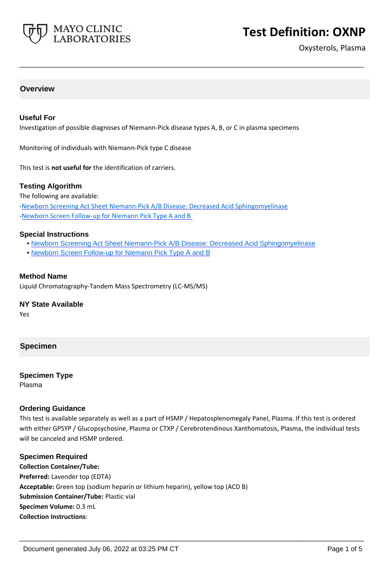

# **Test Definition: OXNP**

Oxysterols, Plasma

# **Overview**

# **Useful For**

Investigation of possible diagnoses of Niemann-Pick disease types A, B, or C in plasma specimens

**\_\_\_\_\_\_\_\_\_\_\_\_\_\_\_\_\_\_\_\_\_\_\_\_\_\_\_\_\_\_\_\_\_\_\_\_\_\_\_\_\_\_\_\_\_\_\_\_\_\_\_**

Monitoring of individuals with Niemann-Pick type C disease

This test is **not useful for** the identification of carriers.

### **Testing Algorithm**

The following are available:

[-Newborn Screening Act Sheet Niemann-Pick A/B Disease: Decreased Acid Sphingomyelinase](https://www.mayocliniclabs.com/it-mmfiles/Newborn_Screening_Act_Sheet_Niemann-Pick_A-B_Disease-Decreased_Acid_Sphingomyelinase.pdf) -Newborn Screen Follow-up for Niemann Pick Type A and B

#### **Special Instructions**

- • [Newborn Screening Act Sheet Niemann-Pick A/B Disease: Decreased Acid Sphingomyelinase](https://www.mayocliniclabs.com/it-mmfiles/Newborn_Screening_Act_Sheet_Niemann-Pick_A-B_Disease-Decreased_Acid_Sphingomyelinase.pdf)
- • [Newborn Screen Follow-up for Niemann Pick Type A and B](https://www.mayocliniclabs.com/it-mmfiles/Newborn_Screen_Follow-up_for_Niemann_Pick_Type_A_and_B.pdf)

# **Method Name**

Liquid Chromatography-Tandem Mass Spectrometry (LC-MS/MS)

### **NY State Available**

Yes

# **Specimen**

#### **Specimen Type**

Plasma

#### **Ordering Guidance**

This test is available separately as well as a part of HSMP / Hepatosplenomegaly Panel, Plasma. If this test is ordered with either GPSYP / Glucopsychosine, Plasma or CTXP / Cerebrotendinous Xanthomatosis, Plasma, the individual tests will be canceled and HSMP ordered.

**\_\_\_\_\_\_\_\_\_\_\_\_\_\_\_\_\_\_\_\_\_\_\_\_\_\_\_\_\_\_\_\_\_\_\_\_\_\_\_\_\_\_\_\_\_\_\_\_\_\_\_**

#### **Specimen Required**

**Collection Container/Tube: Preferred:** Lavender top (EDTA) **Acceptable:** Green top (sodium heparin or lithium heparin), yellow top (ACD B) **Submission Container/Tube:** Plastic vial **Specimen Volume:** 0.3 mL **Collection Instructions**: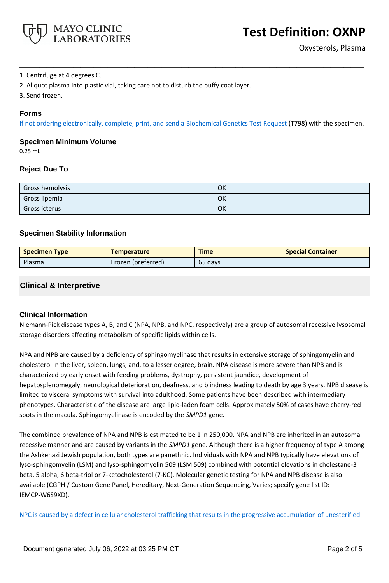

# 1. Centrifuge at 4 degrees C.

- 2. Aliquot plasma into plastic vial, taking care not to disturb the buffy coat layer.
- 3. Send frozen.

# **Forms**

If not ordering electronically, complete, print, and send a [Biochemical Genetics Test Request](https://www.mayocliniclabs.com/it-mmfiles/iem-request-form.pdf) (T798) with the specimen.

**\_\_\_\_\_\_\_\_\_\_\_\_\_\_\_\_\_\_\_\_\_\_\_\_\_\_\_\_\_\_\_\_\_\_\_\_\_\_\_\_\_\_\_\_\_\_\_\_\_\_\_**

# **Specimen Minimum Volume**

0.25 mL

# **Reject Due To**

| Gross hemolysis | OK |
|-----------------|----|
| Gross lipemia   | OK |
| Gross icterus   | OK |

# **Specimen Stability Information**

| <b>Specimen Type</b> | <b>Temperature</b> | <b>Time</b> | <b>Special Container</b> |
|----------------------|--------------------|-------------|--------------------------|
| Plasma               | Frozen (preferred) | 65 days     |                          |

# **Clinical & Interpretive**

# **Clinical Information**

Niemann-Pick disease types A, B, and C (NPA, NPB, and NPC, respectively) are a group of autosomal recessive lysosomal storage disorders affecting metabolism of specific lipids within cells.

NPA and NPB are caused by a deficiency of sphingomyelinase that results in extensive storage of sphingomyelin and cholesterol in the liver, spleen, lungs, and, to a lesser degree, brain. NPA disease is more severe than NPB and is characterized by early onset with feeding problems, dystrophy, persistent jaundice, development of hepatosplenomegaly, neurological deterioration, deafness, and blindness leading to death by age 3 years. NPB disease is limited to visceral symptoms with survival into adulthood. Some patients have been described with intermediary phenotypes. Characteristic of the disease are large lipid-laden foam cells. Approximately 50% of cases have cherry-red spots in the macula. Sphingomyelinase is encoded by the *SMPD1* gene.

The combined prevalence of NPA and NPB is estimated to be 1 in 250,000. NPA and NPB are inherited in an autosomal recessive manner and are caused by variants in the *SMPD1* gene. Although there is a higher frequency of type A among the Ashkenazi Jewish population, both types are panethnic. Individuals with NPA and NPB typically have elevations of lyso-sphingomyelin (LSM) and lyso-sphingomyelin 509 (LSM 509) combined with potential elevations in cholestane-3 beta, 5 alpha, 6 beta-triol or 7-ketocholesterol (7-KC). Molecular genetic testing for NPA and NPB disease is also available (CGPH / Custom Gene Panel, Hereditary, Next-Generation Sequencing, Varies; specify gene list ID: IEMCP-W6S9XD).

NPC is caused by a defect in cellular cholesterol trafficking that results in the progressive accumulation of unesterified

**\_\_\_\_\_\_\_\_\_\_\_\_\_\_\_\_\_\_\_\_\_\_\_\_\_\_\_\_\_\_\_\_\_\_\_\_\_\_\_\_\_\_\_\_\_\_\_\_\_\_\_**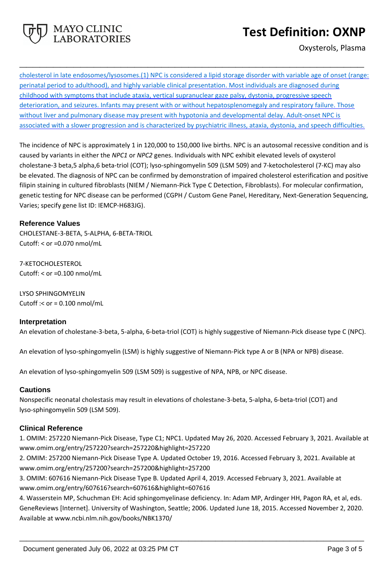

Oxysterols, Plasma

cholesterol in late endosomes/lysosomes.(1) NPC is considered a lipid storage disorder with variable age of onset (range: perinatal period to adulthood), and highly variable clinical presentation. Most individuals are diagnosed during childhood with symptoms that include ataxia, vertical supranuclear gaze palsy, dystonia, progressive speech deterioration, and seizures. Infants may present with or without hepatosplenomegaly and respiratory failure. Those without liver and pulmonary disease may present with hypotonia and developmental delay. Adult-onset NPC is associated with a slower progression and is characterized by psychiatric illness, ataxia, dystonia, and speech difficulties.

**\_\_\_\_\_\_\_\_\_\_\_\_\_\_\_\_\_\_\_\_\_\_\_\_\_\_\_\_\_\_\_\_\_\_\_\_\_\_\_\_\_\_\_\_\_\_\_\_\_\_\_**

The incidence of NPC is approximately 1 in 120,000 to 150,000 live births. NPC is an autosomal recessive condition and is caused by variants in either the *NPC1* or *NPC2* genes. Individuals with NPC exhibit elevated levels of oxysterol cholestane-3 beta,5 alpha,6 beta-triol (COT); lyso-sphingomyelin 509 (LSM 509) and 7-ketocholesterol (7-KC) may also be elevated. The diagnosis of NPC can be confirmed by demonstration of impaired cholesterol esterification and positive filipin staining in cultured fibroblasts (NIEM / Niemann-Pick Type C Detection, Fibroblasts). For molecular confirmation, genetic testing for NPC disease can be performed (CGPH / Custom Gene Panel, Hereditary, Next-Generation Sequencing, Varies; specify gene list ID: IEMCP-H683JG).

# **Reference Values**

CHOLESTANE-3-BETA, 5-ALPHA, 6-BETA-TRIOL Cutoff: < or =0.070 nmol/mL

MAYO CLINIC **BORATORIES** 

7-KETOCHOLESTEROL Cutoff: < or =0.100 nmol/mL

LYSO SPHINGOMYELIN Cutoff  $\le$  or = 0.100 nmol/mL

# **Interpretation**

An elevation of cholestane-3-beta, 5-alpha, 6-beta-triol (COT) is highly suggestive of Niemann-Pick disease type C (NPC).

An elevation of lyso-sphingomyelin (LSM) is highly suggestive of Niemann-Pick type A or B (NPA or NPB) disease.

An elevation of lyso-sphingomyelin 509 (LSM 509) is suggestive of NPA, NPB, or NPC disease.

# **Cautions**

Nonspecific neonatal cholestasis may result in elevations of cholestane-3-beta, 5-alpha, 6-beta-triol (COT) and lyso-sphingomyelin 509 (LSM 509).

# **Clinical Reference**

1. OMIM: 257220 Niemann-Pick Disease, Type C1; NPC1. Updated May 26, 2020. Accessed February 3, 2021. Available at www.omim.org/entry/257220?search=257220&highlight=257220

2. OMIM: 257200 Niemann-Pick Disease Type A. Updated October 19, 2016. Accessed February 3, 2021. Available at www.omim.org/entry/257200?search=257200&highlight=257200

3. OMIM: 607616 Niemann-Pick Disease Type B. Updated April 4, 2019. Accessed February 3, 2021. Available at www.omim.org/entry/607616?search=607616&highlight=607616

4. Wasserstein MP, Schuchman EH: Acid sphingomyelinase deficiency. In: Adam MP, Ardinger HH, Pagon RA, et al, eds. GeneReviews [Internet]. University of Washington, Seattle; 2006. Updated June 18, 2015. Accessed November 2, 2020. Available at www.ncbi.nlm.nih.gov/books/NBK1370/

**\_\_\_\_\_\_\_\_\_\_\_\_\_\_\_\_\_\_\_\_\_\_\_\_\_\_\_\_\_\_\_\_\_\_\_\_\_\_\_\_\_\_\_\_\_\_\_\_\_\_\_**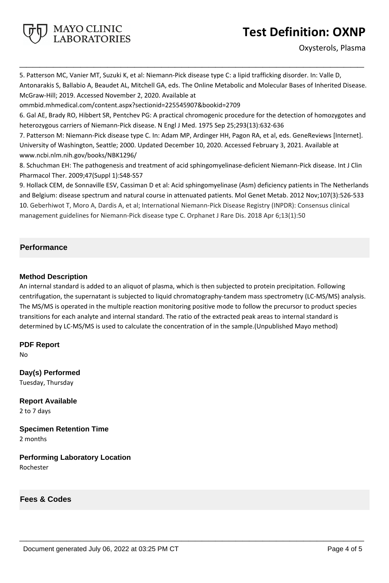

5. Patterson MC, Vanier MT, Suzuki K, et al: Niemann-Pick disease type C: a lipid trafficking disorder. In: Valle D, Antonarakis S, Ballabio A, Beaudet AL, Mitchell GA, eds. The Online Metabolic and Molecular Bases of Inherited Disease. McGraw-Hill; 2019. Accessed November 2, 2020. Available at

**\_\_\_\_\_\_\_\_\_\_\_\_\_\_\_\_\_\_\_\_\_\_\_\_\_\_\_\_\_\_\_\_\_\_\_\_\_\_\_\_\_\_\_\_\_\_\_\_\_\_\_**

ommbid.mhmedical.com/content.aspx?sectionid=225545907&bookid=2709

MAYO CLINIC **LABORATORIES** 

6. Gal AE, Brady RO, Hibbert SR, Pentchev PG: A practical chromogenic procedure for the detection of homozygotes and heterozygous carriers of Niemann-Pick disease. N Engl J Med. 1975 Sep 25;293(13):632-636

7. Patterson M: Niemann-Pick disease type C. In: Adam MP, Ardinger HH, Pagon RA, et al, eds. GeneReviews [Internet]. University of Washington, Seattle; 2000. Updated December 10, 2020. Accessed February 3, 2021. Available at www.ncbi.nlm.nih.gov/books/NBK1296/

8. Schuchman EH: The pathogenesis and treatment of acid sphingomyelinase-deficient Niemann-Pick disease. Int J Clin Pharmacol Ther. 2009;47(Suppl 1):S48-S57

9. Hollack CEM, de Sonnaville ESV, Cassiman D et al: Acid sphingomyelinase (Asm) deficiency patients in The Netherlands and Belgium: disease spectrum and natural course in attenuated patients. Mol Genet Metab. 2012 Nov;107(3):526-533 10. Geberhiwot T, Moro A, Dardis A, et al; International Niemann-Pick Disease Registry (INPDR): Consensus clinical management guidelines for Niemann-Pick disease type C. Orphanet J Rare Dis. 2018 Apr 6;13(1):50

# **Performance**

# **Method Description**

An internal standard is added to an aliquot of plasma, which is then subjected to protein precipitation. Following centrifugation, the supernatant is subjected to liquid chromatography-tandem mass spectrometry (LC-MS/MS) analysis. The MS/MS is operated in the multiple reaction monitoring positive mode to follow the precursor to product species transitions for each analyte and internal standard. The ratio of the extracted peak areas to internal standard is determined by LC-MS/MS is used to calculate the concentration of in the sample.(Unpublished Mayo method)

**\_\_\_\_\_\_\_\_\_\_\_\_\_\_\_\_\_\_\_\_\_\_\_\_\_\_\_\_\_\_\_\_\_\_\_\_\_\_\_\_\_\_\_\_\_\_\_\_\_\_\_**

**PDF Report** No

**Day(s) Performed** Tuesday, Thursday

**Report Available** 2 to 7 days

**Specimen Retention Time** 2 months

**Performing Laboratory Location** Rochester

**Fees & Codes**